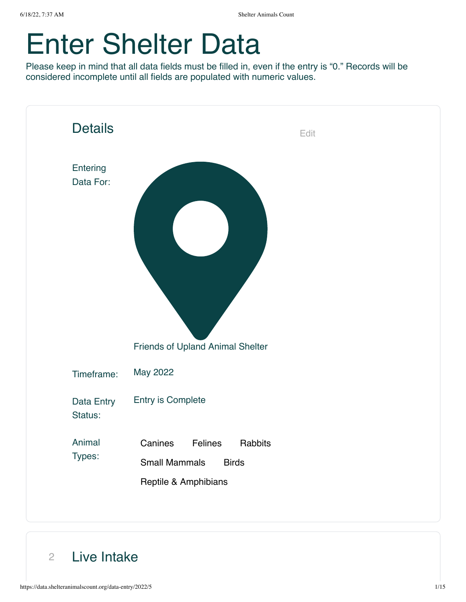# Enter Shelter Data

Please keep in mind that all data fields must be filled in, even if the entry is "0." Records will be considered incomplete until all fields are populated with numeric values.



2 Live Intake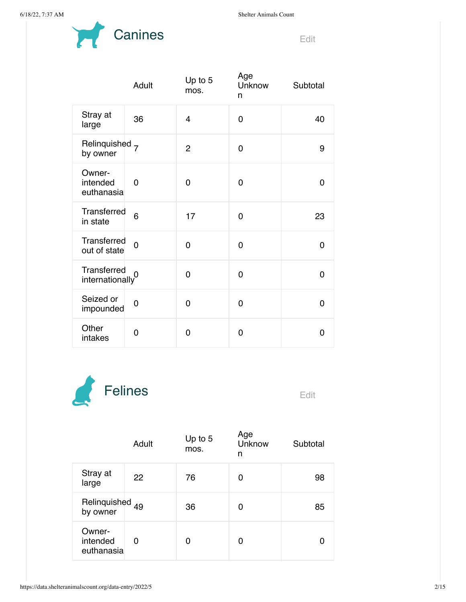

|                                  | Adult          | Up to 5<br>mos. | Age<br>Unknow<br>n | Subtotal |
|----------------------------------|----------------|-----------------|--------------------|----------|
| Stray at<br>large                | 36             | $\overline{4}$  | 0                  | 40       |
| Relinquished 7<br>by owner       |                | $\overline{2}$  | 0                  | 9        |
| Owner-<br>intended<br>euthanasia | 0              | 0               | 0                  | 0        |
| Transferred<br>in state          | 6              | 17              | 0                  | 23       |
| Transferred<br>out of state      | $\overline{0}$ | 0               | 0                  | 0        |
| Transferred<br>internationally   | $\overline{0}$ | 0               | 0                  | 0        |
| Seized or<br>impounded           | 0              | 0               | 0                  | 0        |
| Other<br>intakes                 | 0              | 0               | 0                  | 0        |



|                                        | Adult | Up to $5$<br>mos. | Age<br>Unknow<br>n | Subtotal |
|----------------------------------------|-------|-------------------|--------------------|----------|
| Stray at<br>large                      | 22    | 76                | 0                  | 98       |
| Relinquished <sub>49</sub><br>by owner |       | 36                | 0                  | 85       |
| Owner-<br>intended<br>euthanasia       | 0     | 0                 | 0                  |          |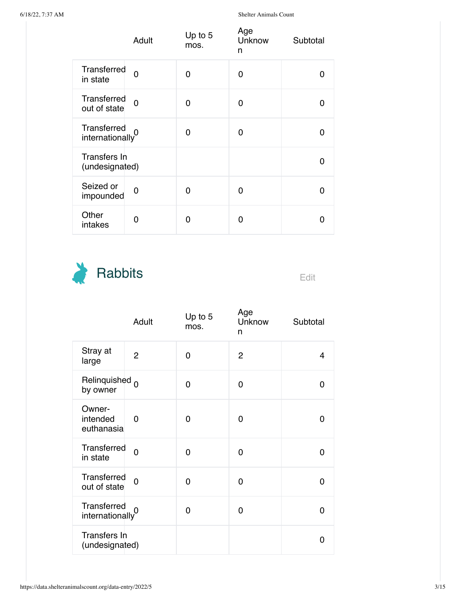|                                             | Adult          | Up to $5$<br>mos. | Age<br>Unknow<br>n | Subtotal |
|---------------------------------------------|----------------|-------------------|--------------------|----------|
| Transferred<br>in state                     | $\overline{0}$ | 0                 | 0                  | n        |
| Transferred<br>out of state                 | $\overline{0}$ | 0                 | 0                  | ŋ        |
| Transferred<br>internationally <sup>0</sup> |                | 0                 | 0                  | O        |
| Transfers In<br>(undesignated)              |                |                   |                    | 0        |
| Seized or<br>impounded                      | 0              | O                 | 0                  | O        |
| Other<br>intakes                            | 0              | ი                 | O                  | O        |



|                                  | Adult          | Up to $5$<br>mos. | Age<br>Unknow<br>n | Subtotal |
|----------------------------------|----------------|-------------------|--------------------|----------|
| Stray at<br>large                | $\overline{2}$ | 0                 | $\overline{2}$     | 4        |
| Relinquished 0<br>by owner       |                | 0                 | 0                  | 0        |
| Owner-<br>intended<br>euthanasia | 0              | 0                 | 0                  | 0        |
| Transferred<br>in state          | $\overline{0}$ | 0                 | 0                  | 0        |
| Transferred<br>out of state      | 0              | 0                 | 0                  | 0        |
| Transferred<br>internationally   |                | 0                 | 0                  | 0        |
| Transfers In<br>(undesignated)   |                |                   |                    | 0        |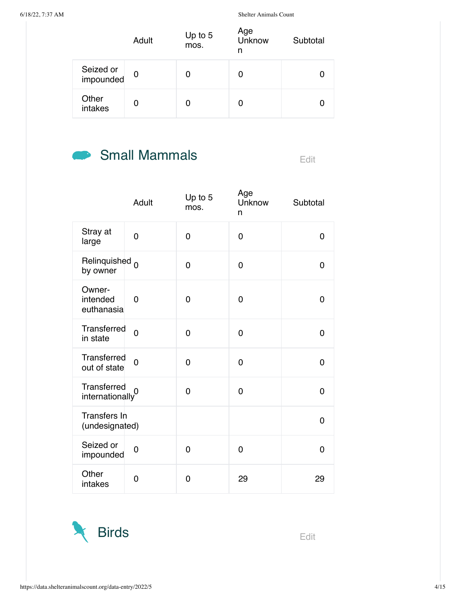|                        | Adult       | Up to 5<br>mos. | Age<br>Unknow<br>n | Subtotal |
|------------------------|-------------|-----------------|--------------------|----------|
| Seized or<br>impounded | $\mathbf 0$ | 0               |                    |          |
| Other<br>intakes       | 0           |                 |                    |          |

## Small Mammals Edit

|                                       | Adult          | Up to 5<br>mos. | Age<br><b>Unknow</b><br>n | Subtotal       |
|---------------------------------------|----------------|-----------------|---------------------------|----------------|
| Stray at<br>large                     | 0              | 0               | 0                         | 0              |
| Relinquished <sub>0</sub><br>by owner |                | 0               | 0                         | 0              |
| Owner-<br>intended<br>euthanasia      | 0              | 0               | 0                         | $\Omega$       |
| Transferred<br>in state               | $\overline{0}$ | 0               | 0                         | $\Omega$       |
| Transferred<br>out of state           | 0              | 0               | 0                         | $\mathbf 0$    |
| Transferred<br>internationally        | $\overline{0}$ | 0               | 0                         | 0              |
| Transfers In<br>(undesignated)        |                |                 |                           | $\overline{0}$ |
| Seized or<br>impounded                | 0              | 0               | 0                         | $\overline{0}$ |
| Other<br>intakes                      | 0              | 0               | 29                        | 29             |

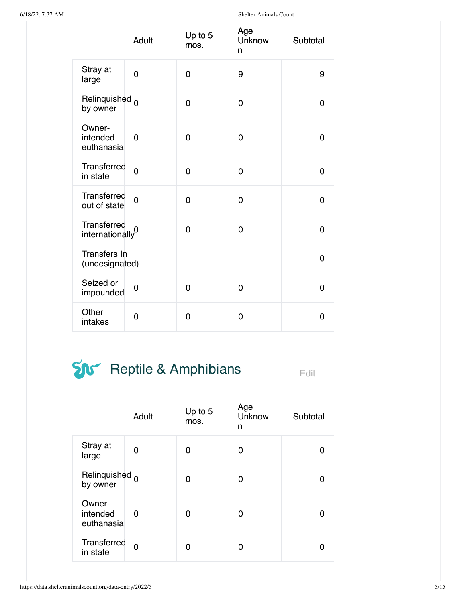|                                  | <b>Adult</b>   | Up to 5<br>mos. | Age<br><b>Unknow</b><br>n | Subtotal |
|----------------------------------|----------------|-----------------|---------------------------|----------|
| Stray at<br>large                | 0              | $\mathbf 0$     | 9                         | 9        |
| Relinquished 0<br>by owner       |                | $\overline{0}$  | 0                         | 0        |
| Owner-<br>intended<br>euthanasia | 0              | 0               | 0                         | 0        |
| Transferred<br>in state          | $\overline{0}$ | 0               | 0                         | 0        |
| Transferred<br>out of state      | 0              | $\mathbf 0$     | 0                         | 0        |
| Transferred<br>internationally   | $\overline{0}$ | 0               | 0                         | 0        |
| Transfers In<br>(undesignated)   |                |                 |                           | 0        |
| Seized or<br>impounded           | 0              | 0               | 0                         | 0        |
| Other<br>intakes                 | 0              | 0               | 0                         | 0        |

## $\sum_{\text{E}_\text{dil}}$  Reptile & Amphibians

|                                  | Adult | Up to 5<br>mos. | Age<br>Unknow<br>n | Subtotal |
|----------------------------------|-------|-----------------|--------------------|----------|
| Stray at<br>large                | 0     | O               | 0                  |          |
| Relinquished 0<br>by owner       |       | 0               | ი                  |          |
| Owner-<br>intended<br>euthanasia | 0     | O               | O                  |          |
| Transferred<br>in state          | 0     | U               |                    |          |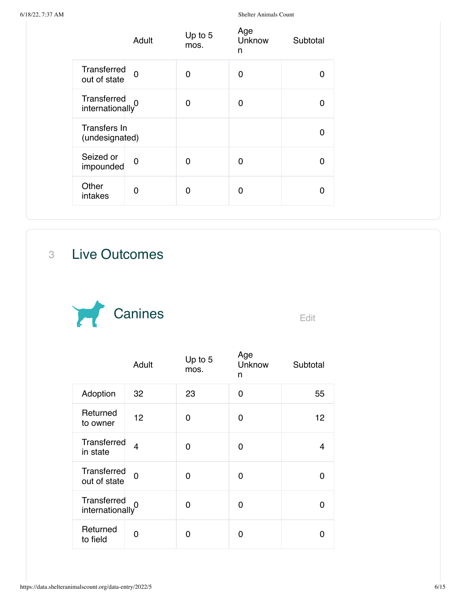|                                | Adult          | Up to 5<br>mos. | Age<br>Unknow<br>n | Subtotal |
|--------------------------------|----------------|-----------------|--------------------|----------|
| Transferred<br>out of state    | $\overline{0}$ | 0               | ∩                  |          |
| Transferred<br>internationally |                | 0               | 0                  | O        |
| Transfers In<br>(undesignated) |                |                 |                    | n        |
| Seized or<br>impounded         | $\overline{0}$ | O               | ∩                  | O        |
| Other<br>intakes               | 0              | 0               | ∩                  |          |

3 Live Outcomes



|                                | Adult          | Up to $5$<br>mos. | Age<br>Unknow<br>n | Subtotal |
|--------------------------------|----------------|-------------------|--------------------|----------|
| Adoption                       | 32             | 23                | 0                  | 55       |
| Returned<br>to owner           | 12             | 0                 | 0                  | 12       |
| Transferred<br>in state        | 4              | 0                 | 0                  | 4        |
| Transferred<br>out of state    | $\overline{0}$ | 0                 | 0                  | O        |
| Transferred<br>internationally | $\Omega$       | 0                 | 0                  | O        |
| Returned<br>to field           | O              | n                 | O                  |          |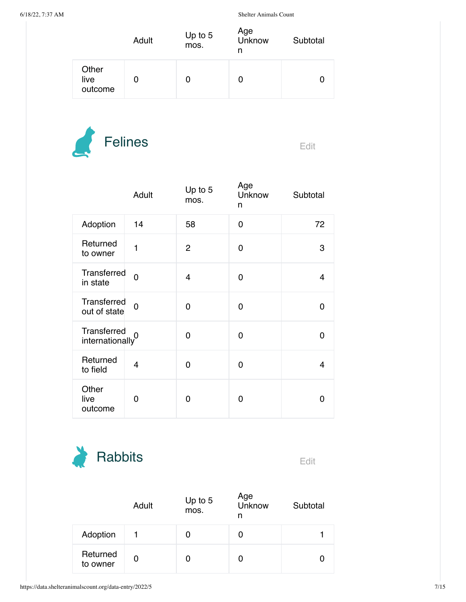|                          | Adult | Up to $5$<br>mos. | Age<br>Unknow<br>n | Subtotal |
|--------------------------|-------|-------------------|--------------------|----------|
| Other<br>live<br>outcome | O     | O                 |                    |          |



|                                             | Adult          | Up to $5$<br>mos. | Age<br>Unknow<br>n | Subtotal |
|---------------------------------------------|----------------|-------------------|--------------------|----------|
| Adoption                                    | 14             | 58                | $\Omega$           | 72       |
| Returned<br>to owner                        | 1              | $\overline{2}$    | 0                  | 3        |
| Transferred<br>in state                     | $\overline{0}$ | 4                 | 0                  | 4        |
| Transferred<br>out of state                 | $\overline{0}$ | $\Omega$          | 0                  | 0        |
| Transferred<br>internationally <sup>0</sup> |                | 0                 | 0                  | 0        |
| Returned<br>to field                        | 4              | 0                 | 0                  | 4        |
| Other<br>live<br>outcome                    | 0              | 0                 | Ω                  | O        |



|                      | Adult | Up to $5$<br>mos. | Age<br>Unknow<br>n | Subtotal |
|----------------------|-------|-------------------|--------------------|----------|
| Adoption             |       | 0                 |                    |          |
| Returned<br>to owner | 0     | 0                 |                    |          |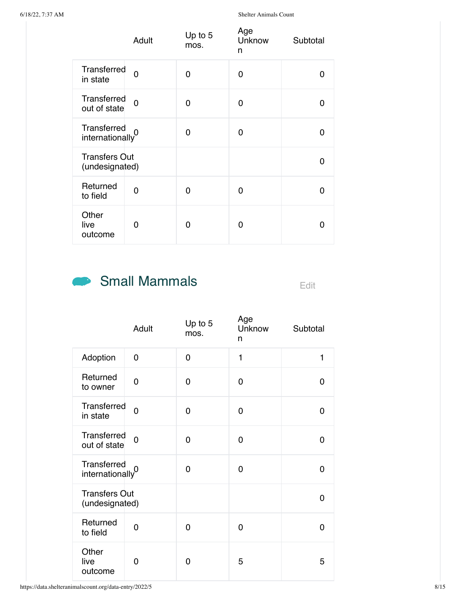|                                             | Adult    | Up to 5<br>mos. | Age<br>Unknow<br>n | Subtotal |
|---------------------------------------------|----------|-----------------|--------------------|----------|
| Transferred<br>in state                     | $\Omega$ | 0               | 0                  | O        |
| Transferred<br>out of state                 | $\Omega$ | 0               | 0                  | 0        |
| Transferred<br>internationally <sup>0</sup> |          | $\Omega$        | 0                  | O        |
| <b>Transfers Out</b><br>(undesignated)      |          |                 |                    | O        |
| Returned<br>to field                        | 0        | 0               | 0                  | ŋ        |
| Other<br>live<br>outcome                    | 0        | O               | 0                  | O        |

#### Small Mammals Edit

|                                        | Adult          | Up to 5<br>mos. | Age<br>Unknow<br>n | Subtotal |
|----------------------------------------|----------------|-----------------|--------------------|----------|
| Adoption                               | 0              | $\overline{0}$  | 1                  | 1        |
| Returned<br>to owner                   | 0              | $\mathbf 0$     | 0                  | 0        |
| Transferred<br>in state                | $\overline{0}$ | $\Omega$        | $\Omega$           | 0        |
| Transferred<br>out of state            | $\overline{0}$ | $\Omega$        | $\Omega$           | 0        |
| Transferred<br>internationally         | $\overline{0}$ | $\Omega$        | 0                  | 0        |
| <b>Transfers Out</b><br>(undesignated) |                |                 |                    | 0        |
| Returned<br>to field                   | 0              | 0               | 0                  | 0        |
| Other<br>live<br>outcome               | 0              | 0               | 5                  | 5        |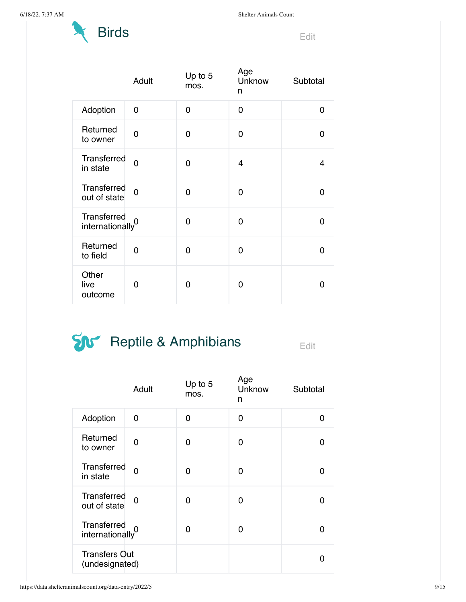

|                                             | Adult          | Up to 5<br>mos. | Age<br>Unknow<br>n | Subtotal |
|---------------------------------------------|----------------|-----------------|--------------------|----------|
| Adoption                                    | 0              | $\Omega$        | 0                  | 0        |
| Returned<br>to owner                        | 0              | 0               | $\overline{0}$     | 0        |
| Transferred<br>in state                     | $\Omega$       | 0               | 4                  | 4        |
| Transferred<br>out of state                 | $\overline{0}$ | 0               | 0                  | 0        |
| Transferred<br>internationally <sup>0</sup> |                | $\Omega$        | 0                  | 0        |
| Returned<br>to field                        | $\overline{0}$ | 0               | 0                  | 0        |
| Other<br>live<br>outcome                    | 0              | 0               | 0                  | 0        |

## $\sum_{\text{Eclit}}$  Reptile & Amphibians

|                                        | Adult          | Up to 5<br>mos. | Age<br>Unknow<br>n | Subtotal |
|----------------------------------------|----------------|-----------------|--------------------|----------|
| Adoption                               | 0              | 0               | 0                  | O        |
| Returned<br>to owner                   | 0              | 0               | 0                  | ŋ        |
| Transferred<br>in state                | $\overline{0}$ | 0               | 0                  |          |
| Transferred<br>out of state            | 0              | 0               | 0                  | O        |
| Transferred<br>internationally         | 0              | 0               | O                  |          |
| <b>Transfers Out</b><br>(undesignated) |                |                 |                    |          |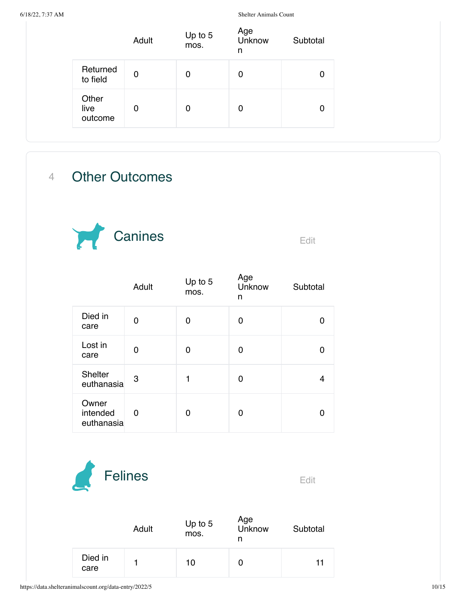|                          | Adult | Up to 5<br>mos. | Age<br>Unknow<br>n | Subtotal |
|--------------------------|-------|-----------------|--------------------|----------|
| Returned<br>to field     | 0     | 0               | 0                  | 0        |
| Other<br>live<br>outcome | 0     | 0               | 0                  | 0        |

#### 4 Other Outcomes



| - 1 |  |  |
|-----|--|--|

|                                 | Adult | Up to 5<br>mos. | Age<br>Unknow<br>n | Subtotal |
|---------------------------------|-------|-----------------|--------------------|----------|
| Died in<br>care                 | 0     | O               | O                  |          |
| Lost in<br>care                 | O     | 0               | 0                  |          |
| <b>Shelter</b><br>euthanasia    | 3     | 1               | 0                  | 4        |
| Owner<br>intended<br>euthanasia | 0     | ∩               | ŋ                  |          |



|                 | Adult | Up to 5<br>mos. | Age<br>Unknow | Subtotal |
|-----------------|-------|-----------------|---------------|----------|
| Died in<br>care |       | 10              |               | 11       |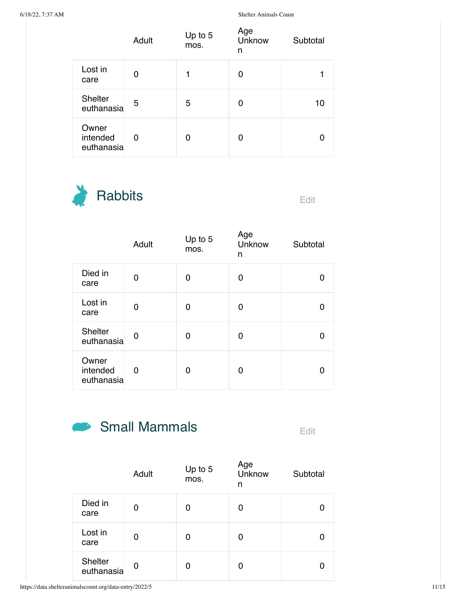|                                 | Adult | Up to 5<br>mos. | Age<br>Unknow<br>n | Subtotal |
|---------------------------------|-------|-----------------|--------------------|----------|
| Lost in<br>care                 | 0     |                 | 0                  |          |
| <b>Shelter</b><br>euthanasia    | 5     | 5               | 0                  | 10       |
| Owner<br>intended<br>euthanasia | 0     | 0               | 0                  |          |



|                                 | Adult | Up to 5<br>mos. | Age<br>Unknow<br>n | Subtotal |
|---------------------------------|-------|-----------------|--------------------|----------|
| Died in<br>care                 | O     | 0               | 0                  |          |
| Lost in<br>care                 | 0     | 0               | 0                  |          |
| Shelter<br>euthanasia           | 0     | 0               | 0                  |          |
| Owner<br>intended<br>euthanasia | 0     | 0               | 0                  |          |

## Small Mammals Edit

|                       | Adult | Up to 5<br>mos. | Age<br>Unknow<br>n | Subtotal |
|-----------------------|-------|-----------------|--------------------|----------|
| Died in<br>care       | 0     | 0               | 0                  |          |
| Lost in<br>care       | 0     | 0               | 0                  |          |
| Shelter<br>euthanasia | 0     | 0               | 0                  |          |

https://data.shelteranimalscount.org/data-entry/2022/5 11/15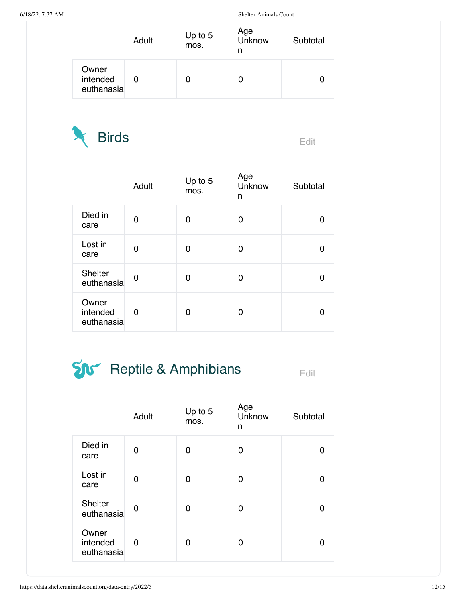|                                 | Adult | Up to 5<br>mos. | Age<br>Unknow<br>n | Subtotal |
|---------------------------------|-------|-----------------|--------------------|----------|
| Owner<br>intended<br>euthanasia |       |                 | O                  |          |



|                                 | Adult | Up to 5<br>mos. | Age<br>Unknow<br>n | Subtotal |
|---------------------------------|-------|-----------------|--------------------|----------|
| Died in<br>care                 | 0     | 0               | 0                  |          |
| Lost in<br>care                 | 0     | 0               | 0                  |          |
| <b>Shelter</b><br>euthanasia    | 0     | 0               | Ω                  |          |
| Owner<br>intended<br>euthanasia | 0     | 0               | 0                  |          |

## $\sum_{\text{Eclit}}$  Reptile & Amphibians

|                                 | Adult | Up to 5<br>mos. | Age<br>Unknow<br>n | Subtotal |
|---------------------------------|-------|-----------------|--------------------|----------|
| Died in<br>care                 | 0     | 0               | 0                  |          |
| Lost in<br>care                 | 0     | 0               | 0                  | n        |
| <b>Shelter</b><br>euthanasia    | 0     | 0               | 0                  |          |
| Owner<br>intended<br>euthanasia | 0     | 0               | 0                  |          |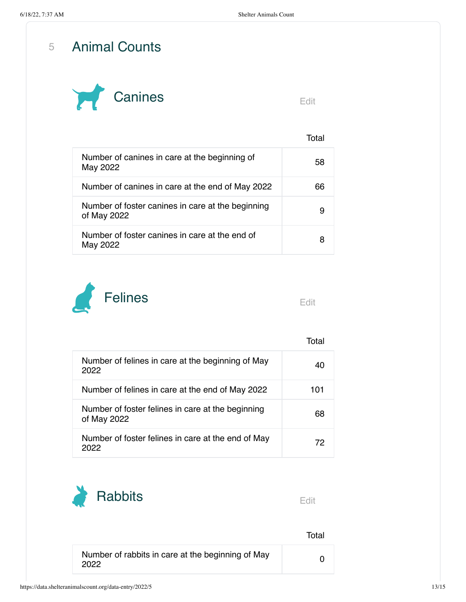5 Animal Counts



Total

| Number of canines in care at the beginning of<br>May 2022        | 58 |
|------------------------------------------------------------------|----|
| Number of canines in care at the end of May 2022                 | 66 |
| Number of foster canines in care at the beginning<br>of May 2022 |    |
| Number of foster canines in care at the end of<br>May 2022       |    |



|                                                                  | T∩tal |
|------------------------------------------------------------------|-------|
| Number of felines in care at the beginning of May<br>2022        | 40    |
| Number of felines in care at the end of May 2022                 | 101   |
| Number of foster felines in care at the beginning<br>of May 2022 | 68    |
| Number of foster felines in care at the end of May<br>2022       | 72    |



|                                                           | Total |
|-----------------------------------------------------------|-------|
| Number of rabbits in care at the beginning of May<br>2022 |       |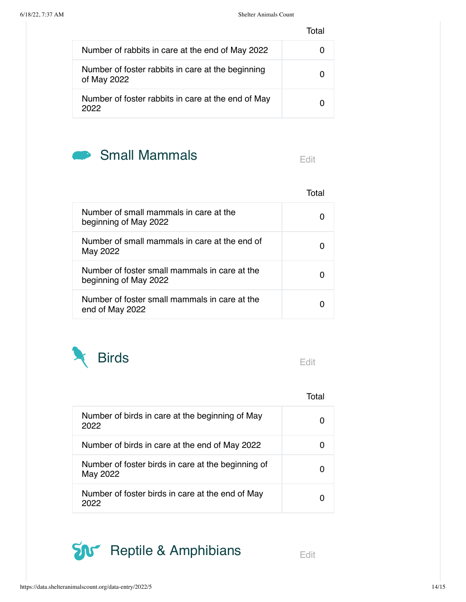Total

| Number of rabbits in care at the end of May 2022                 |  |
|------------------------------------------------------------------|--|
| Number of foster rabbits in care at the beginning<br>of May 2022 |  |
| Number of foster rabbits in care at the end of May<br>2022       |  |



|  |  | ٠ |
|--|--|---|
|  |  |   |
|  |  |   |

Total

| Number of small mammals in care at the<br>beginning of May 2022        |  |
|------------------------------------------------------------------------|--|
| Number of small mammals in care at the end of<br>May 2022              |  |
| Number of foster small mammals in care at the<br>beginning of May 2022 |  |
| Number of foster small mammals in care at the<br>end of May 2022       |  |



Total

| Number of birds in care at the beginning of May<br>2022        |  |
|----------------------------------------------------------------|--|
| Number of birds in care at the end of May 2022                 |  |
| Number of foster birds in care at the beginning of<br>May 2022 |  |
| Number of foster birds in care at the end of May<br>2022       |  |